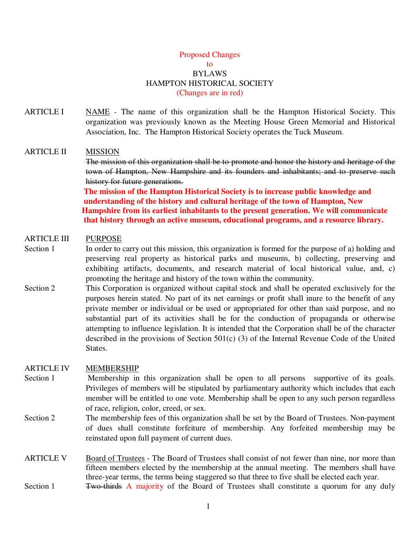### Proposed Changes to BYLAWS HAMPTON HISTORICAL SOCIETY (Changes are in red)

ARTICLE I NAME - The name of this organization shall be the Hampton Historical Society. This organization was previously known as the Meeting House Green Memorial and Historical Association, Inc. The Hampton Historical Society operates the Tuck Museum.

#### ARTICLE II MISSION

The mission of this organization shall be to promote and honor the history and heritage of the town of Hampton, New Hampshire and its founders and inhabitants; and to preserve such history for future generations.

 **The mission of the Hampton Historical Society is to increase public knowledge and understanding of the history and cultural heritage of the town of Hampton, New Hampshire from its earliest inhabitants to the present generation. We will communicate that history through an active museum, educational programs, and a resource library.** 

#### ARTICLE III PURPOSE

- Section 1 In order to carry out this mission, this organization is formed for the purpose of a) holding and preserving real property as historical parks and museums, b) collecting, preserving and exhibiting artifacts, documents, and research material of local historical value, and, c) promoting the heritage and history of the town within the community.
- Section 2 This Corporation is organized without capital stock and shall be operated exclusively for the purposes herein stated. No part of its net earnings or profit shall inure to the benefit of any private member or individual or be used or appropriated for other than said purpose, and no substantial part of its activities shall be for the conduction of propaganda or otherwise attempting to influence legislation. It is intended that the Corporation shall be of the character described in the provisions of Section 501(c) (3) of the Internal Revenue Code of the United States.

#### ARTICLE IV MEMBERSHIP

- Section 1 Membership in this organization shall be open to all persons supportive of its goals. Privileges of members will be stipulated by parliamentary authority which includes that each member will be entitled to one vote. Membership shall be open to any such person regardless of race, religion, color, creed, or sex.
- Section 2 The membership fees of this organization shall be set by the Board of Trustees. Non-payment of dues shall constitute forfeiture of membership. Any forfeited membership may be reinstated upon full payment of current dues.
- ARTICLE V Board of Trustees The Board of Trustees shall consist of not fewer than nine, nor more than fifteen members elected by the membership at the annual meeting. The members shall have three-year terms, the terms being staggered so that three to five shall be elected each year.
- Section 1 Two-thirds A majority of the Board of Trustees shall constitute a quorum for any duly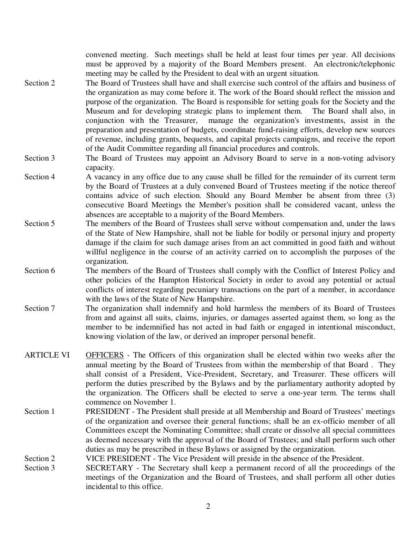convened meeting. Such meetings shall be held at least four times per year. All decisions must be approved by a majority of the Board Members present. An electronic/telephonic meeting may be called by the President to deal with an urgent situation.

- Section 2 The Board of Trustees shall have and shall exercise such control of the affairs and business of the organization as may come before it. The work of the Board should reflect the mission and purpose of the organization. The Board is responsible for setting goals for the Society and the Museum and for developing strategic plans to implement them. The Board shall also, in conjunction with the Treasurer, manage the organization's investments, assist in the preparation and presentation of budgets, coordinate fund-raising efforts, develop new sources of revenue, including grants, bequests, and capital projects campaigns, and receive the report of the Audit Committee regarding all financial procedures and controls.
- Section 3 The Board of Trustees may appoint an Advisory Board to serve in a non-voting advisory capacity.
- Section 4 A vacancy in any office due to any cause shall be filled for the remainder of its current term by the Board of Trustees at a duly convened Board of Trustees meeting if the notice thereof contains advice of such election. Should any Board Member be absent from three (3) consecutive Board Meetings the Member's position shall be considered vacant, unless the absences are acceptable to a majority of the Board Members.
- Section 5 The members of the Board of Trustees shall serve without compensation and, under the laws of the State of New Hampshire, shall not be liable for bodily or personal injury and property damage if the claim for such damage arises from an act committed in good faith and without willful negligence in the course of an activity carried on to accomplish the purposes of the organization.
- Section 6 The members of the Board of Trustees shall comply with the Conflict of Interest Policy and other policies of the Hampton Historical Society in order to avoid any potential or actual conflicts of interest regarding pecuniary transactions on the part of a member, in accordance with the laws of the State of New Hampshire.
- Section 7 The organization shall indemnify and hold harmless the members of its Board of Trustees from and against all suits, claims, injuries, or damages asserted against them, so long as the member to be indemnified has not acted in bad faith or engaged in intentional misconduct, knowing violation of the law, or derived an improper personal benefit.
- ARTICLE VI OFFICERS The Officers of this organization shall be elected within two weeks after the annual meeting by the Board of Trustees from within the membership of that Board . They shall consist of a President, Vice-President, Secretary, and Treasurer. These officers will perform the duties prescribed by the Bylaws and by the parliamentary authority adopted by the organization. The Officers shall be elected to serve a one-year term. The terms shall commence on November 1.
- Section 1 PRESIDENT The President shall preside at all Membership and Board of Trustees' meetings of the organization and oversee their general functions; shall be an ex-officio member of all Committees except the Nominating Committee; shall create or dissolve all special committees as deemed necessary with the approval of the Board of Trustees; and shall perform such other duties as may be prescribed in these Bylaws or assigned by the organization.
- Section 2 VICE PRESIDENT The Vice President will preside in the absence of the President.
- Section 3 SECRETARY The Secretary shall keep a permanent record of all the proceedings of the meetings of the Organization and the Board of Trustees, and shall perform all other duties incidental to this office.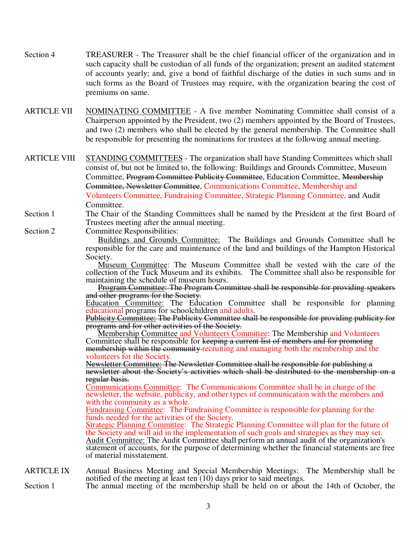- Section 4 TREASURER The Treasurer shall be the chief financial officer of the organization and in such capacity shall be custodian of all funds of the organization; present an audited statement of accounts yearly; and, give a bond of faithful discharge of the duties in such sums and in such forms as the Board of Trustees may require, with the organization bearing the cost of premiums on same.
- ARTICLE VII NOMINATING COMMITTEE A five member Nominating Committee shall consist of a Chairperson appointed by the President, two (2) members appointed by the Board of Trustees, and two (2) members who shall be elected by the general membership. The Committee shall be responsible for presenting the nominations for trustees at the following annual meeting.

ARTICLE VIII STANDING COMMITTEES - The organization shall have Standing Committees which shall consist of, but not be limited to, the following: Buildings and Grounds Committee, Museum Committee, Program Committee Publicity Committee, Education Committee, Membership Committee, Newsletter Committee, Communications Committee, Membership and Volunteers Committee, Fundraising Committee, Strategic Planning Committee, and Audit Committee.

Section 1 The Chair of the Standing Committees shall be named by the President at the first Board of Trustees meeting after the annual meeting.

Section 2 Committee Responsibilities:

 Buildings and Grounds Committee: The Buildings and Grounds Committee shall be responsible for the care and maintenance of the land and buildings of the Hampton Historical Society.

 Museum Committee: The Museum Committee shall be vested with the care of the collection of the Tuck Museum and its exhibits. The Committee shall also be responsible for maintaining the schedule of museum hours.

 Program Committee: The Program Committee shall be responsible for providing speakers and other programs for the Society.

Education Committee: The Education Committee shall be responsible for planning educational programs for schoolchildren and adults.

Publicity Committee: The Publicity Committee shall be responsible for providing publicity for programs and for other activities of the Society.

**Membership Committee and Volunteers Committee:** The Membership and Volunteers Committee shall be responsible for keeping a current list of members and for promoting membership within the community recruiting and managing both the membership and the volunteers for the Society.

 Newsletter Committee: The Newsletter Committee shall be responsible for publishing a newsletter about the Society's activities which shall be distributed to the membership on a regular basis.

 Communications Committee: The Communications Committee shall be in charge of the newsletter, the website, publicity, and other types of communication with the members and with the community as a whole.

 Fundraising Committee: The Fundraising Committee is responsible for planning for the funds needed for the activities of the Society.

Strategic Planning Committee: The Strategic Planning Committee will plan for the future of the Society and will aid in the implementation of such goals and strategies as they may set. Audit Committee: The Audit Committee shall perform an annual audit of the organization's statement of accounts, for the purpose of determining whether the financial statements are free of material misstatement.

ARTICLE IX Annual Business Meeting and Special Membership Meetings: The Membership shall be notified of the meeting at least ten  $(10)$  days prior to said meetings.

Section 1 The annual meeting of the membership shall be held on or about the 14th of October, the